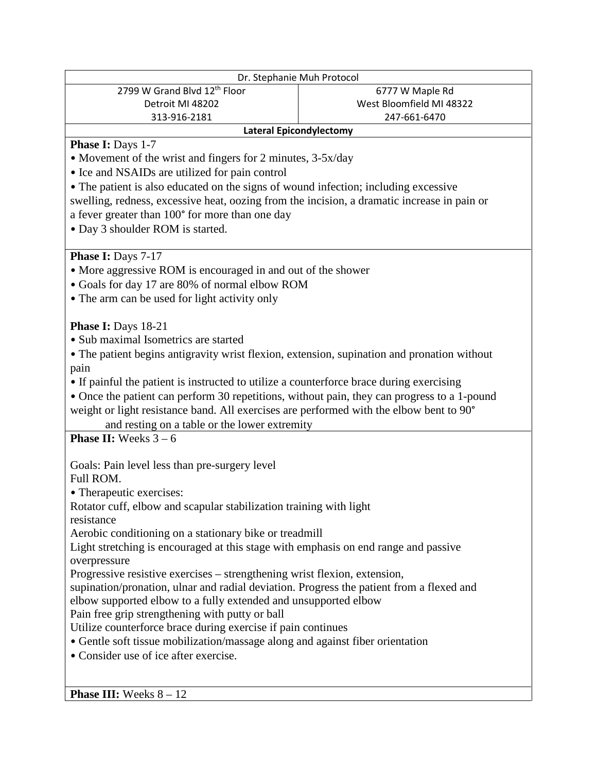| Dr. Stephanie Muh Protocol                                                                  |                          |
|---------------------------------------------------------------------------------------------|--------------------------|
| 2799 W Grand Blvd 12th Floor                                                                | 6777 W Maple Rd          |
| Detroit MI 48202                                                                            | West Bloomfield MI 48322 |
| 313-916-2181                                                                                | 247-661-6470             |
| <b>Lateral Epicondylectomy</b>                                                              |                          |
| Phase I: Days 1-7                                                                           |                          |
| • Movement of the wrist and fingers for 2 minutes, 3-5x/day                                 |                          |
| • Ice and NSAIDs are utilized for pain control                                              |                          |
| • The patient is also educated on the signs of wound infection; including excessive         |                          |
| swelling, redness, excessive heat, oozing from the incision, a dramatic increase in pain or |                          |
| a fever greater than 100° for more than one day                                             |                          |
| • Day 3 shoulder ROM is started.                                                            |                          |
|                                                                                             |                          |
| Phase I: Days 7-17                                                                          |                          |
|                                                                                             |                          |
| • More aggressive ROM is encouraged in and out of the shower                                |                          |
| • Goals for day 17 are 80% of normal elbow ROM                                              |                          |
| • The arm can be used for light activity only                                               |                          |
| <b>Phase I:</b> Days 18-21                                                                  |                          |
| • Sub maximal Isometrics are started                                                        |                          |
|                                                                                             |                          |
| • The patient begins antigravity wrist flexion, extension, supination and pronation without |                          |
| pain                                                                                        |                          |
| • If painful the patient is instructed to utilize a counterforce brace during exercising    |                          |
| • Once the patient can perform 30 repetitions, without pain, they can progress to a 1-pound |                          |
| weight or light resistance band. All exercises are performed with the elbow bent to 90°     |                          |
| and resting on a table or the lower extremity                                               |                          |
| <b>Phase II:</b> Weeks $3 - 6$                                                              |                          |
|                                                                                             |                          |
| Goals: Pain level less than pre-surgery level                                               |                          |
| Full ROM.                                                                                   |                          |
| • Therapeutic exercises:                                                                    |                          |
| Rotator cuff, elbow and scapular stabilization training with light                          |                          |
| resistance                                                                                  |                          |
| Aerobic conditioning on a stationary bike or treadmill                                      |                          |
| Light stretching is encouraged at this stage with emphasis on end range and passive         |                          |
| overpressure                                                                                |                          |
| Progressive resistive exercises – strengthening wrist flexion, extension,                   |                          |
| supination/pronation, ulnar and radial deviation. Progress the patient from a flexed and    |                          |
| elbow supported elbow to a fully extended and unsupported elbow                             |                          |
| Pain free grip strengthening with putty or ball                                             |                          |
| Utilize counterforce brace during exercise if pain continues                                |                          |
| • Gentle soft tissue mobilization/massage along and against fiber orientation               |                          |
| • Consider use of ice after exercise.                                                       |                          |
|                                                                                             |                          |
|                                                                                             |                          |
| <b>Phase III:</b> Weeks $8 - 12$                                                            |                          |